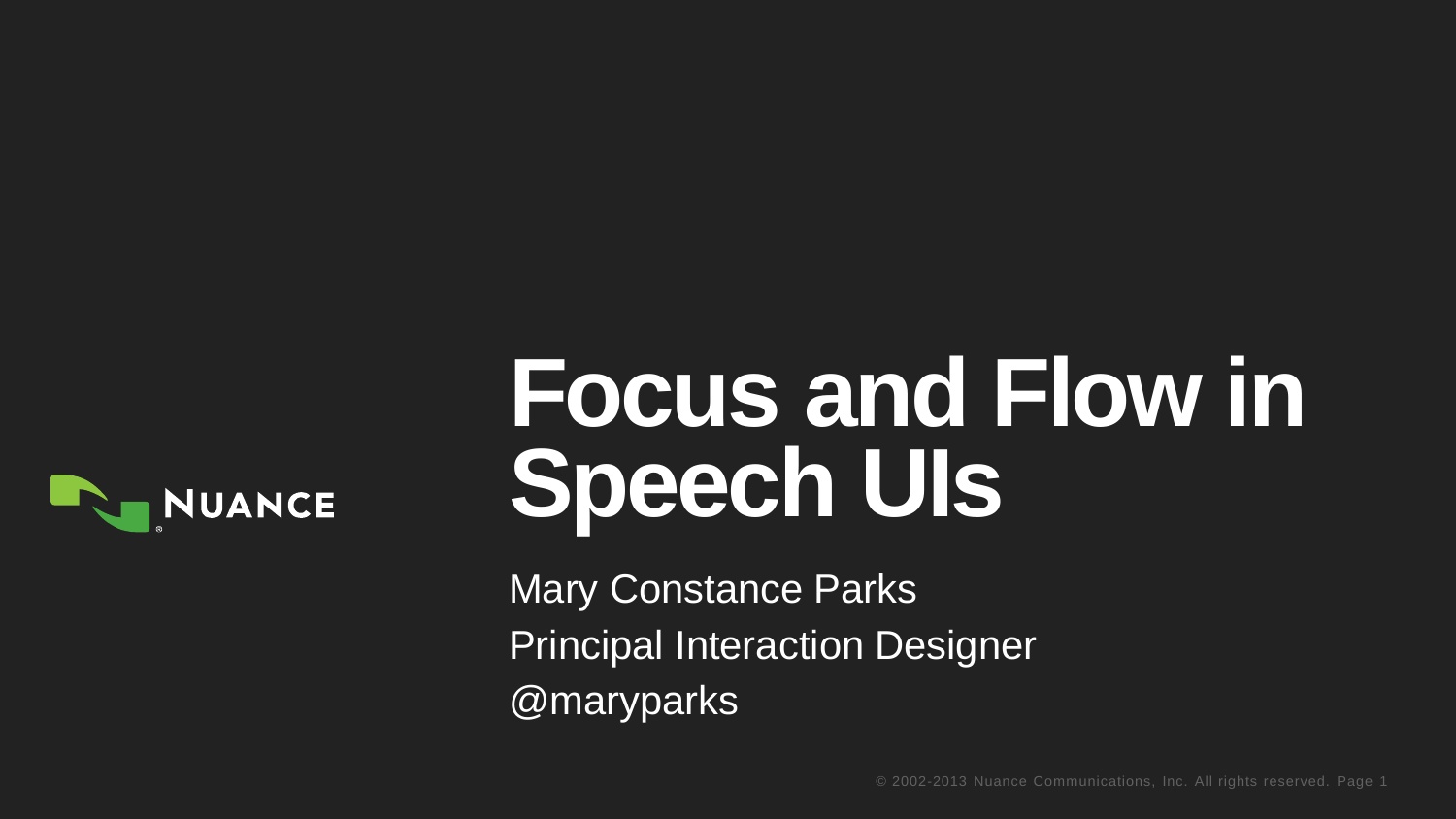

# **Focus and Flow in Speech UIs**

Mary Constance Parks Principal Interaction Designer @maryparks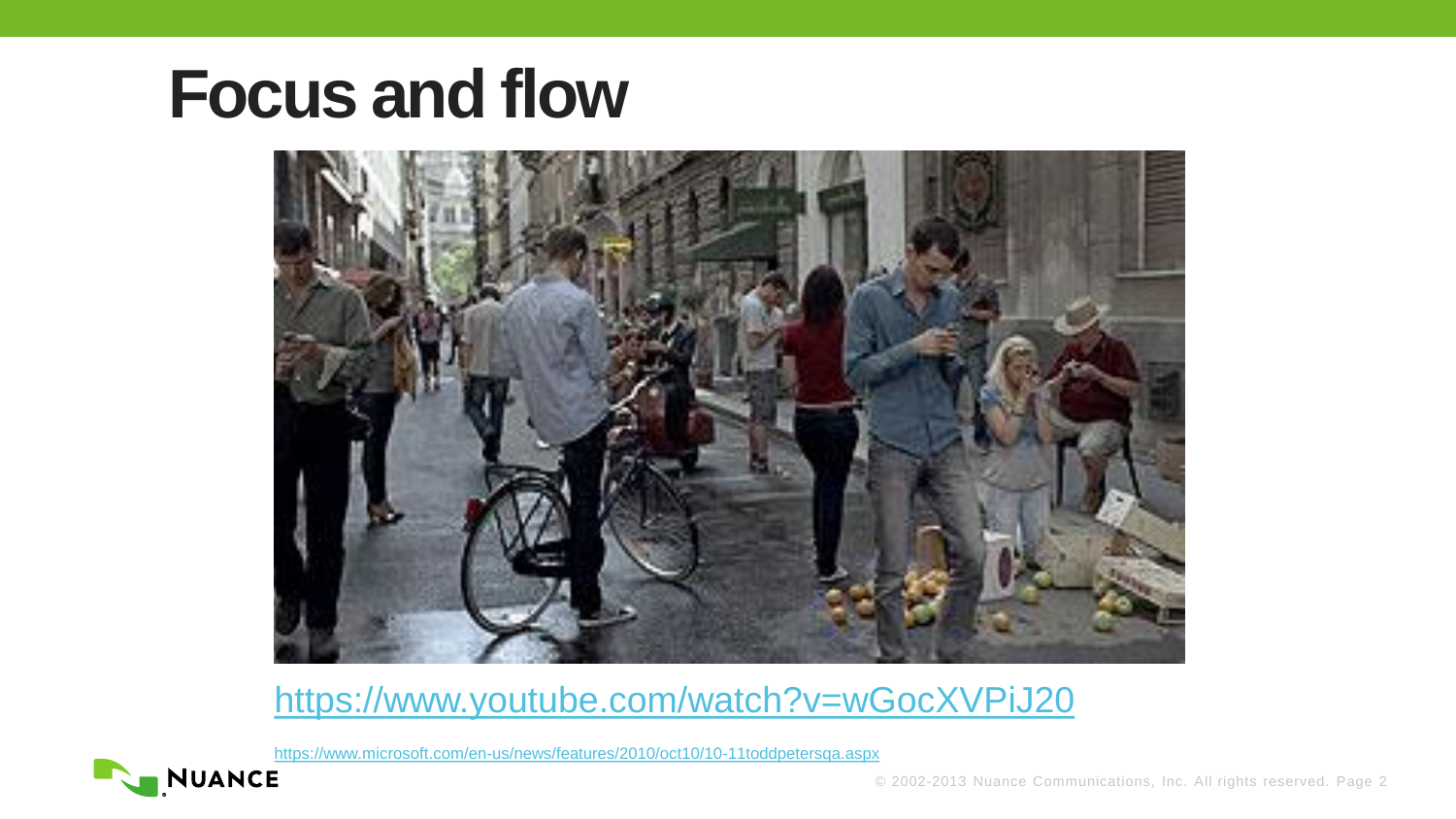

<https://www.youtube.com/watch?v=wGocXVPiJ20>

<https://www.microsoft.com/en-us/news/features/2010/oct10/10-11toddpetersqa.aspx>

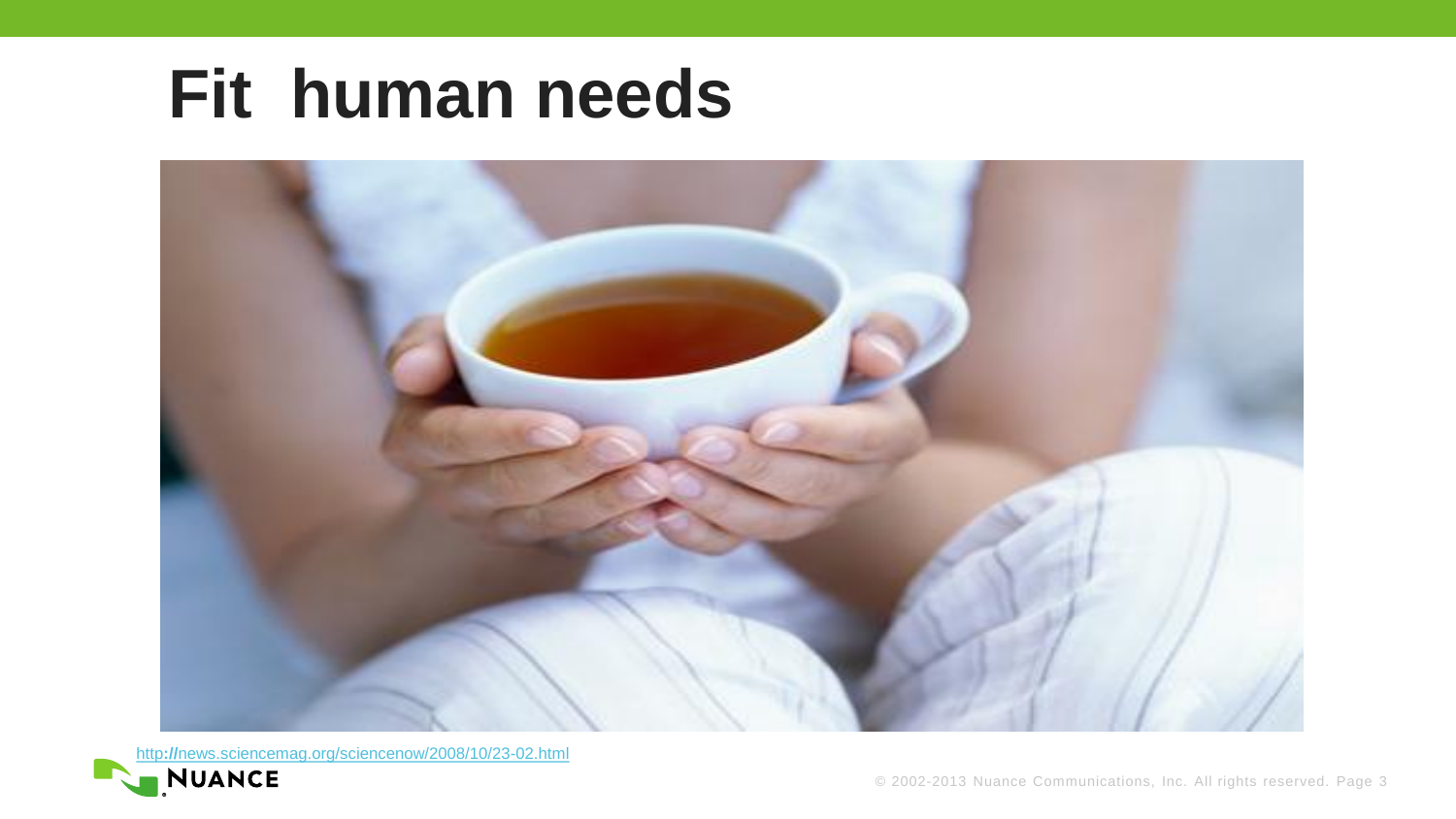#### **Fit human needs**



[http](http://news.sciencemag.org/sciencenow/2008/10/23-02.html)**[://](http://news.sciencemag.org/sciencenow/2008/10/23-02.html)**[news.sciencemag.org/sciencenow/2008/10/23-02.html](http://news.sciencemag.org/sciencenow/2008/10/23-02.html)

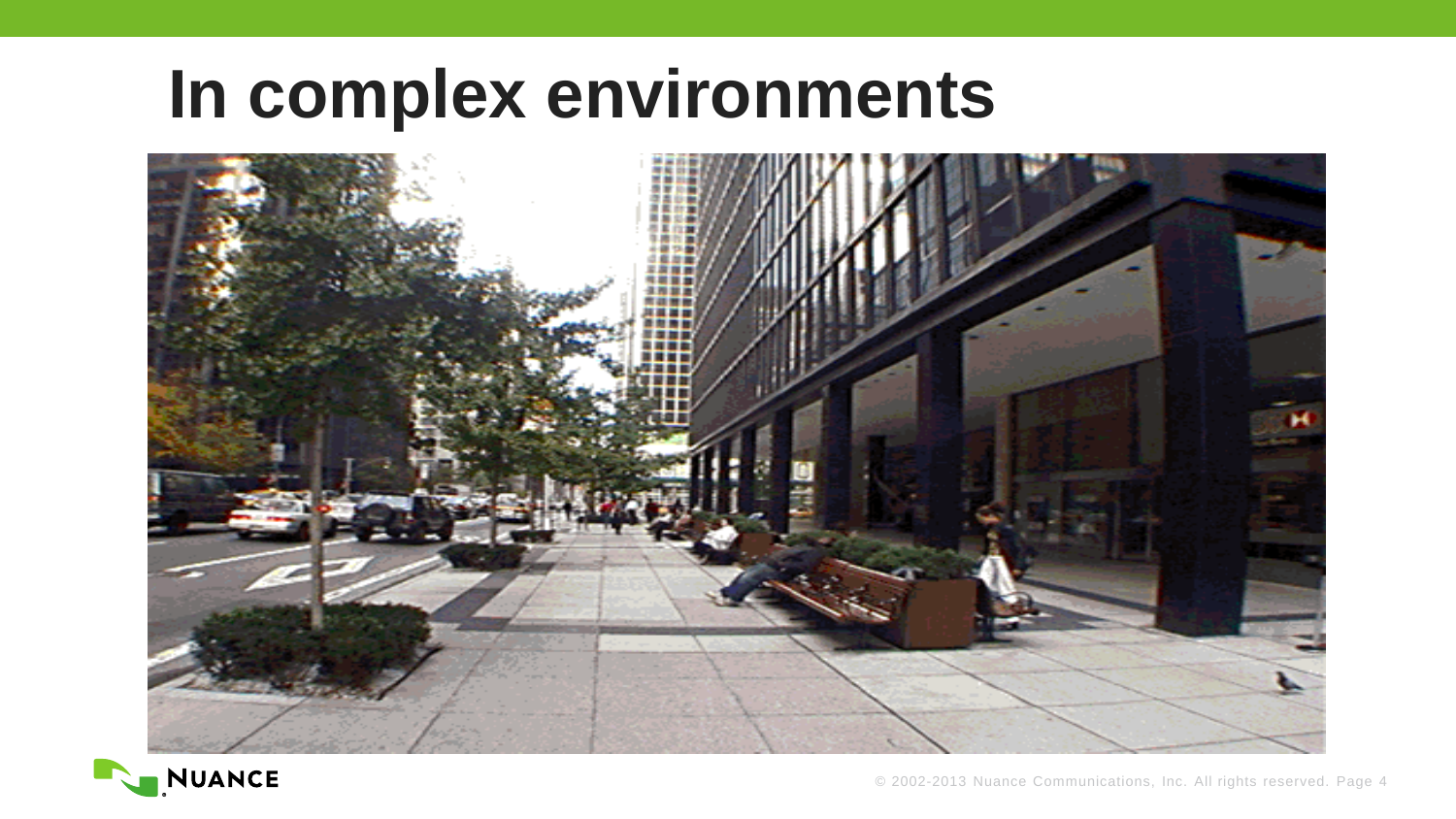#### **In complex environments**



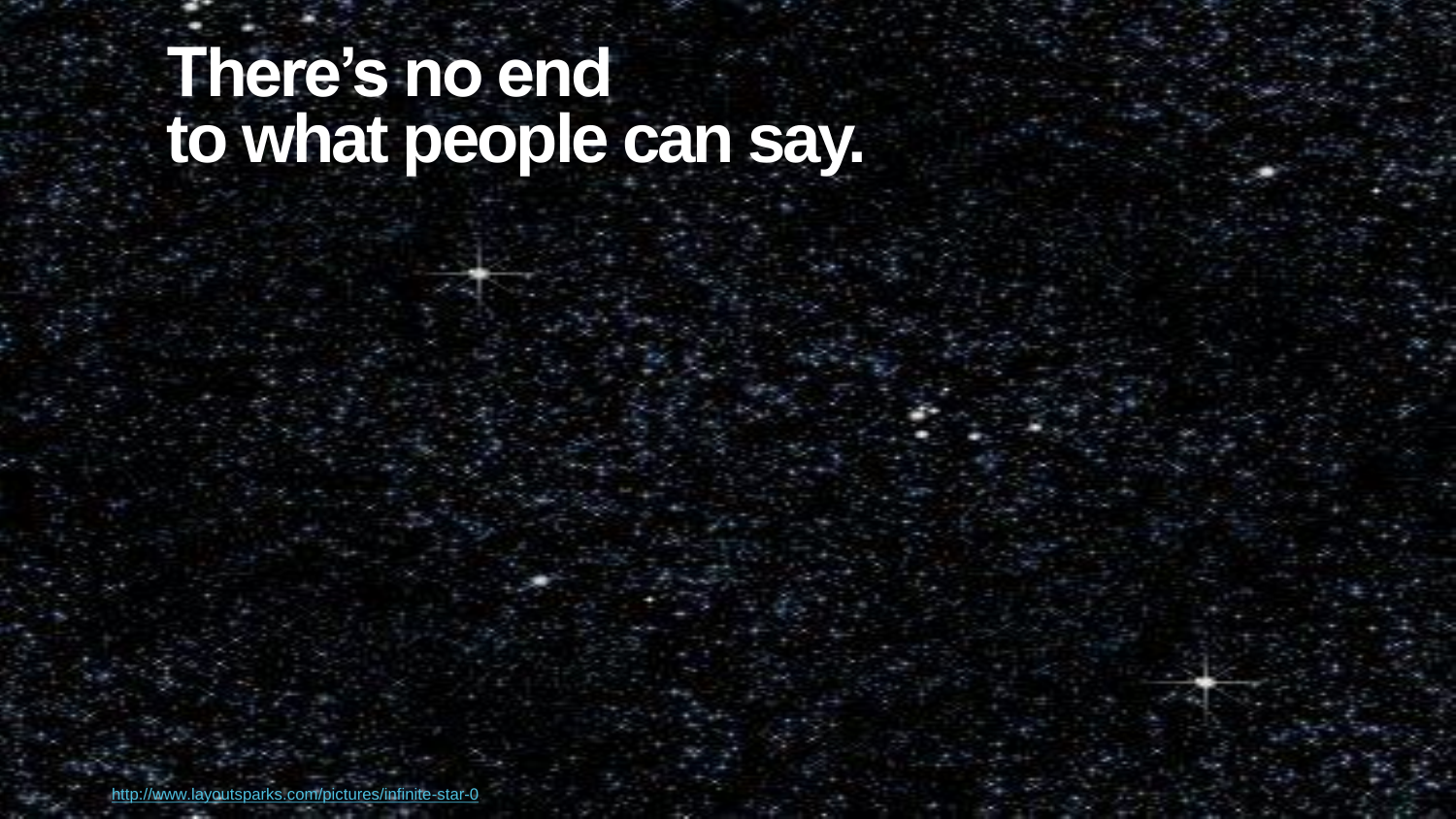#### **There's no end to what people can say.**

© 2002-2013 Nuance Communications, Inc. All rights reserved. Page 5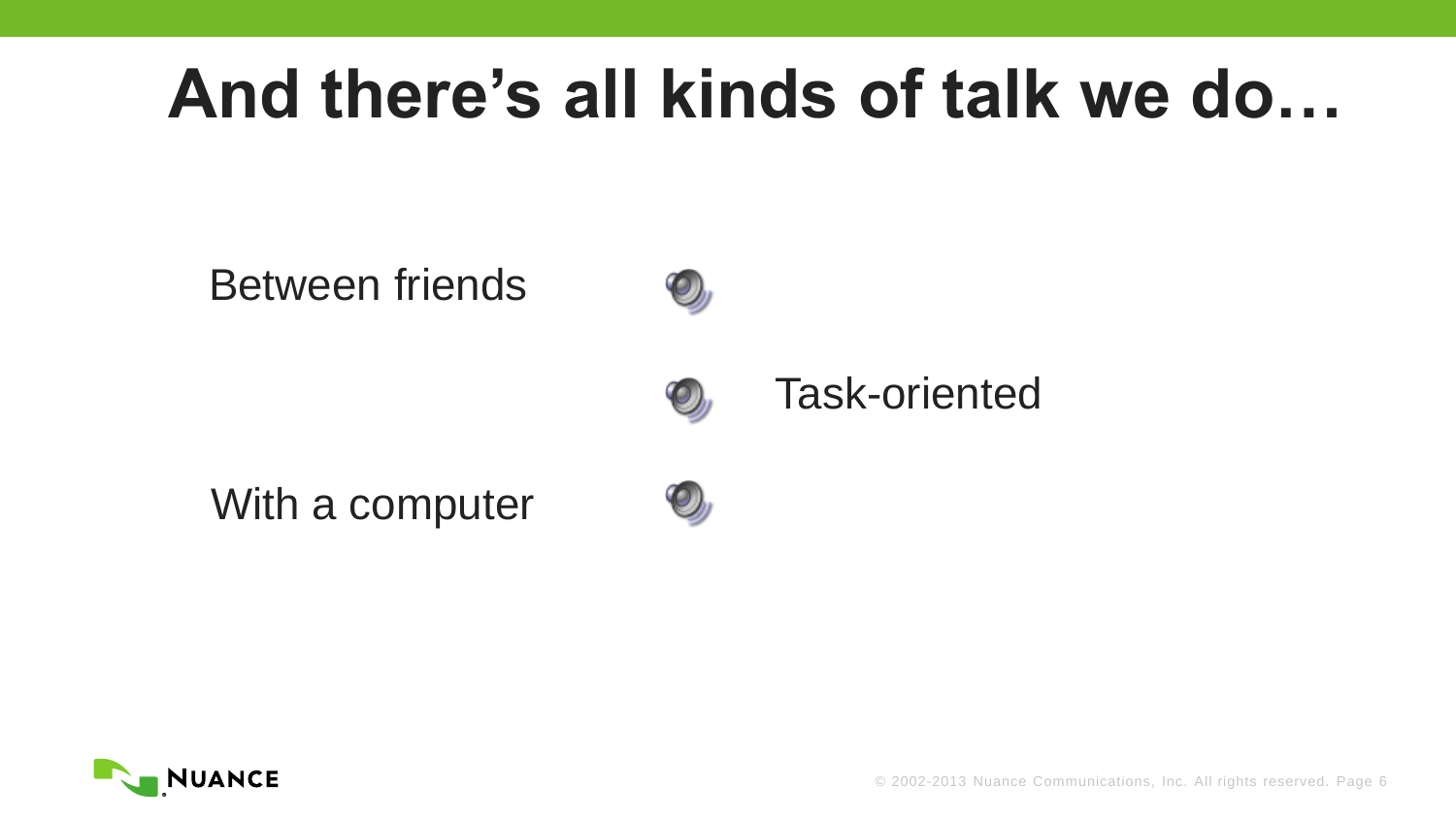### **And there's all kinds of talk we do…**

#### Between friends



#### Task-oriented

With a computer





© 2002-2013 Nuance Communications, Inc. All rights reserved. Page 6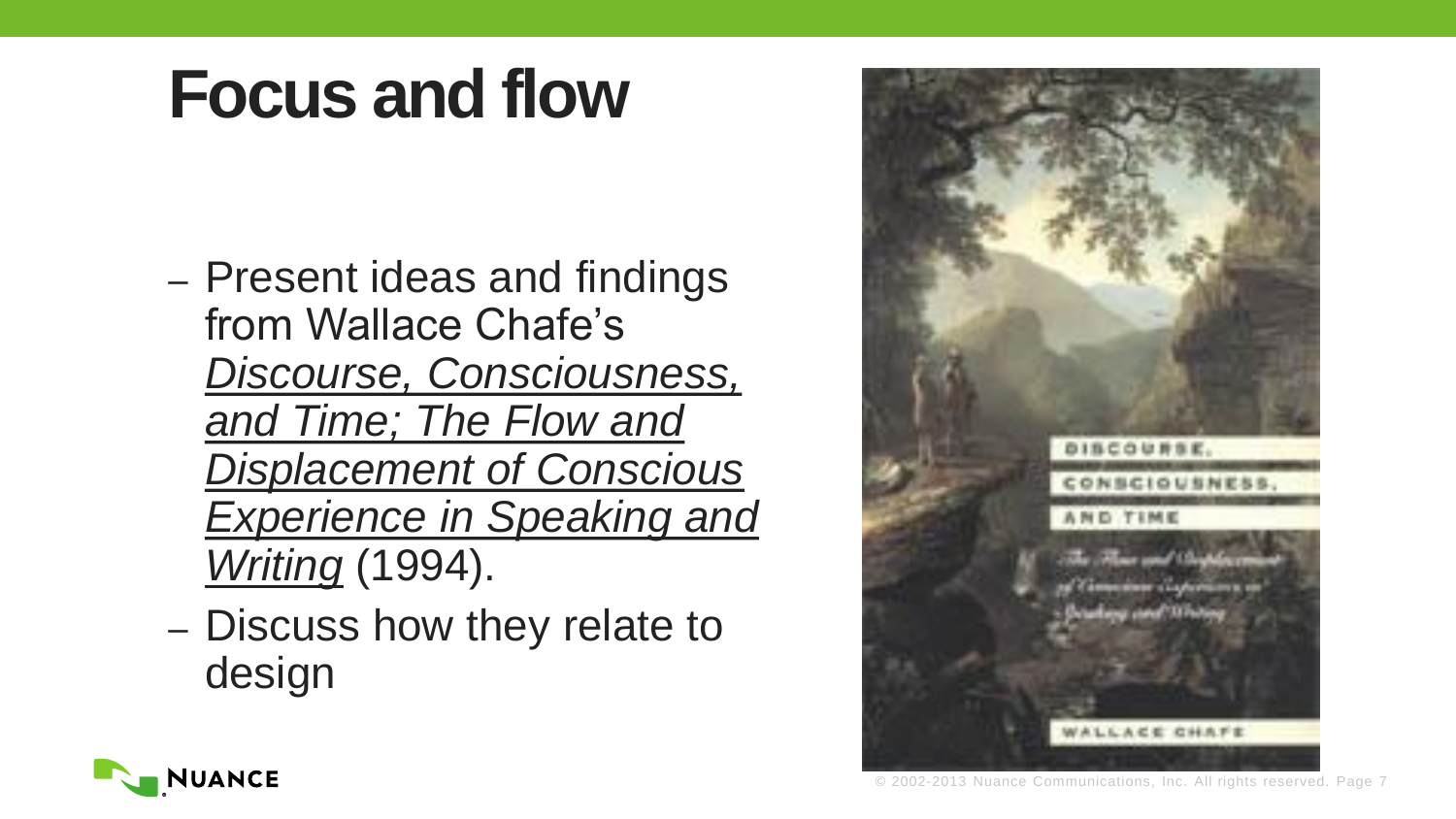- Present ideas and findings from Wallace Chafe's *Discourse, Consciousness, and Time; The Flow and Displacement of Conscious Experience in Speaking and Writing* (1994).
- Discuss how they relate to design



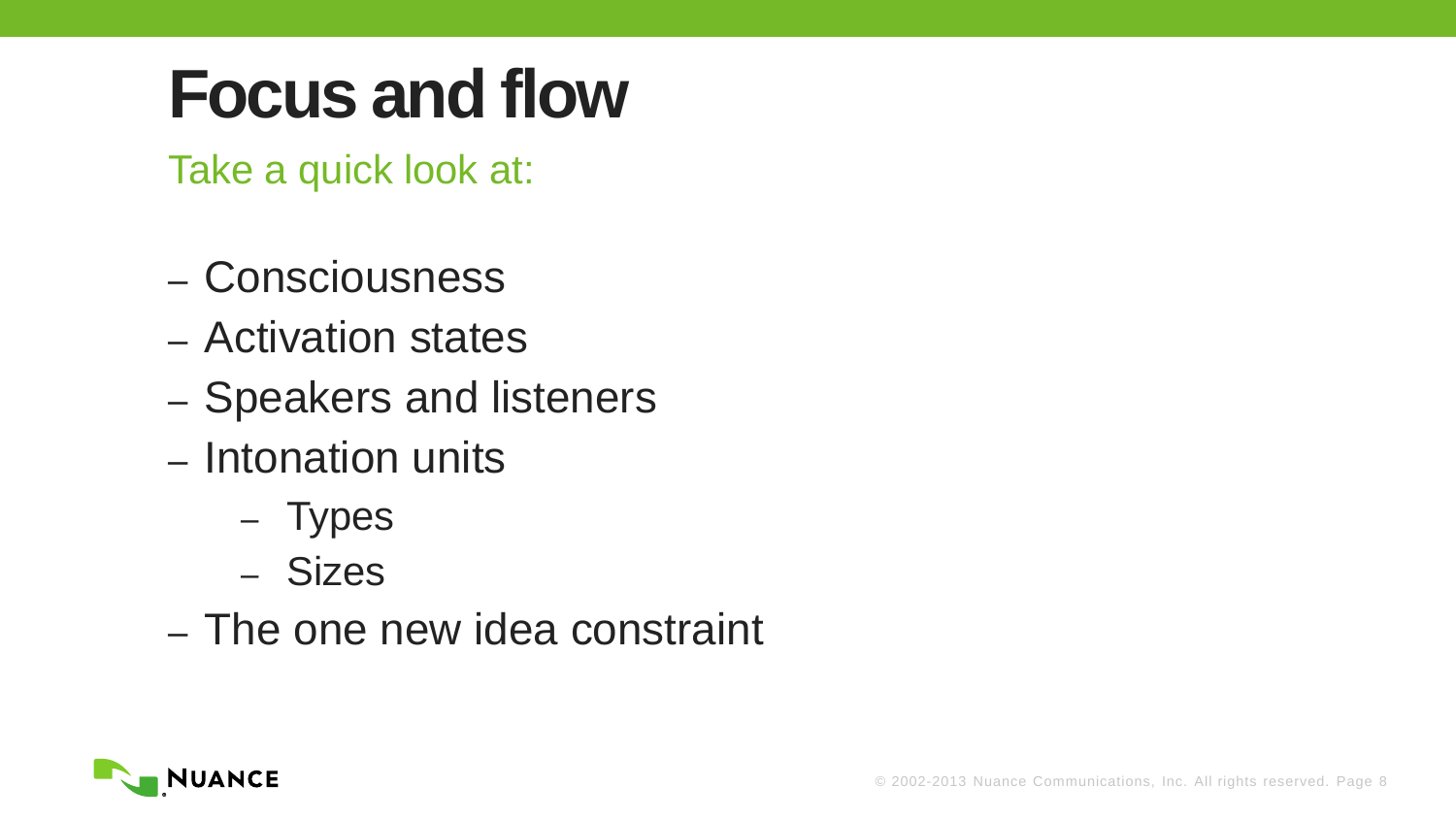Take a quick look at:

- Consciousness
- Activation states
- Speakers and listeners
- Intonation units
	- Types
	- Sizes
- The one new idea constraint

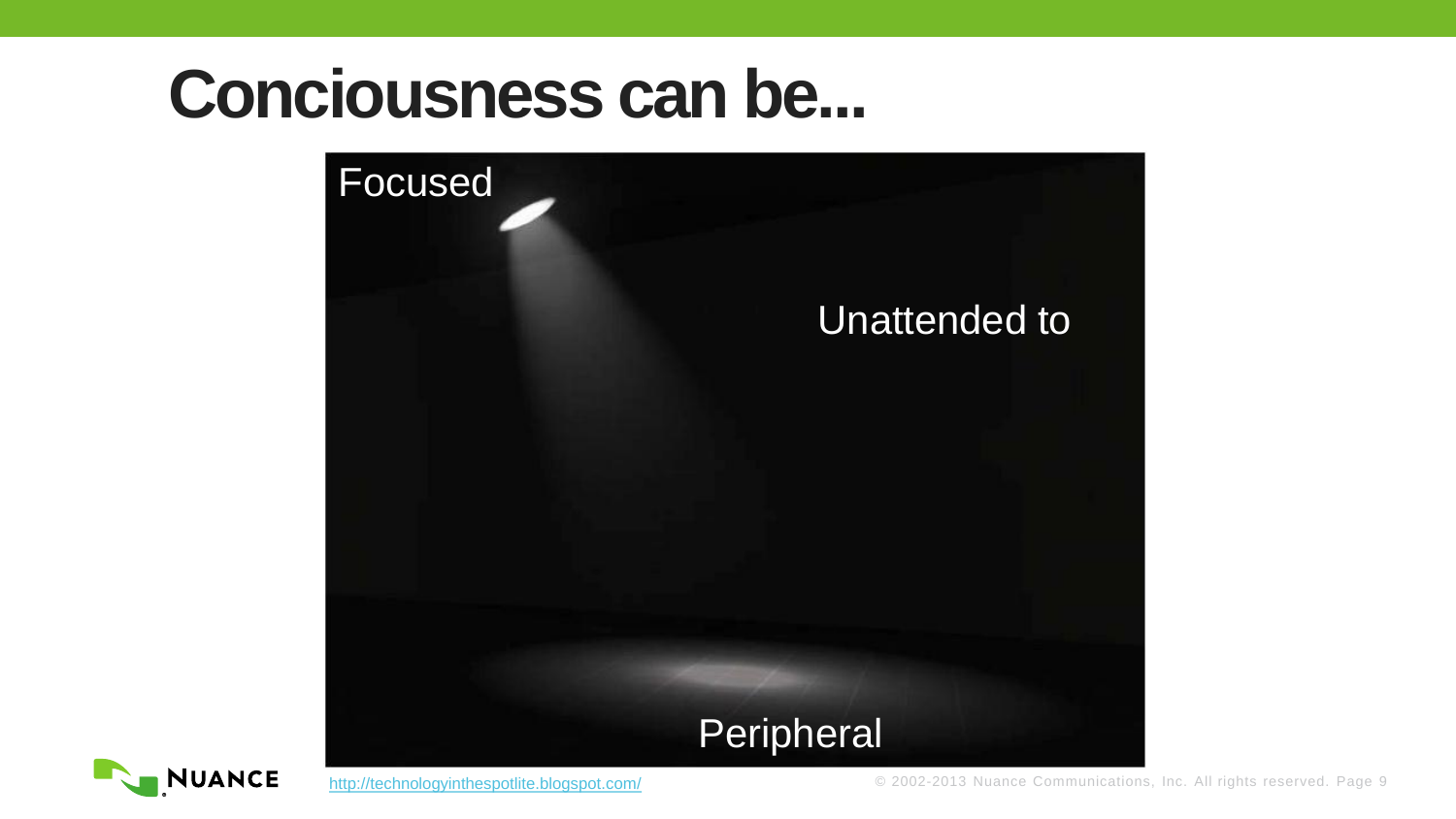#### **Conciousness can be...**



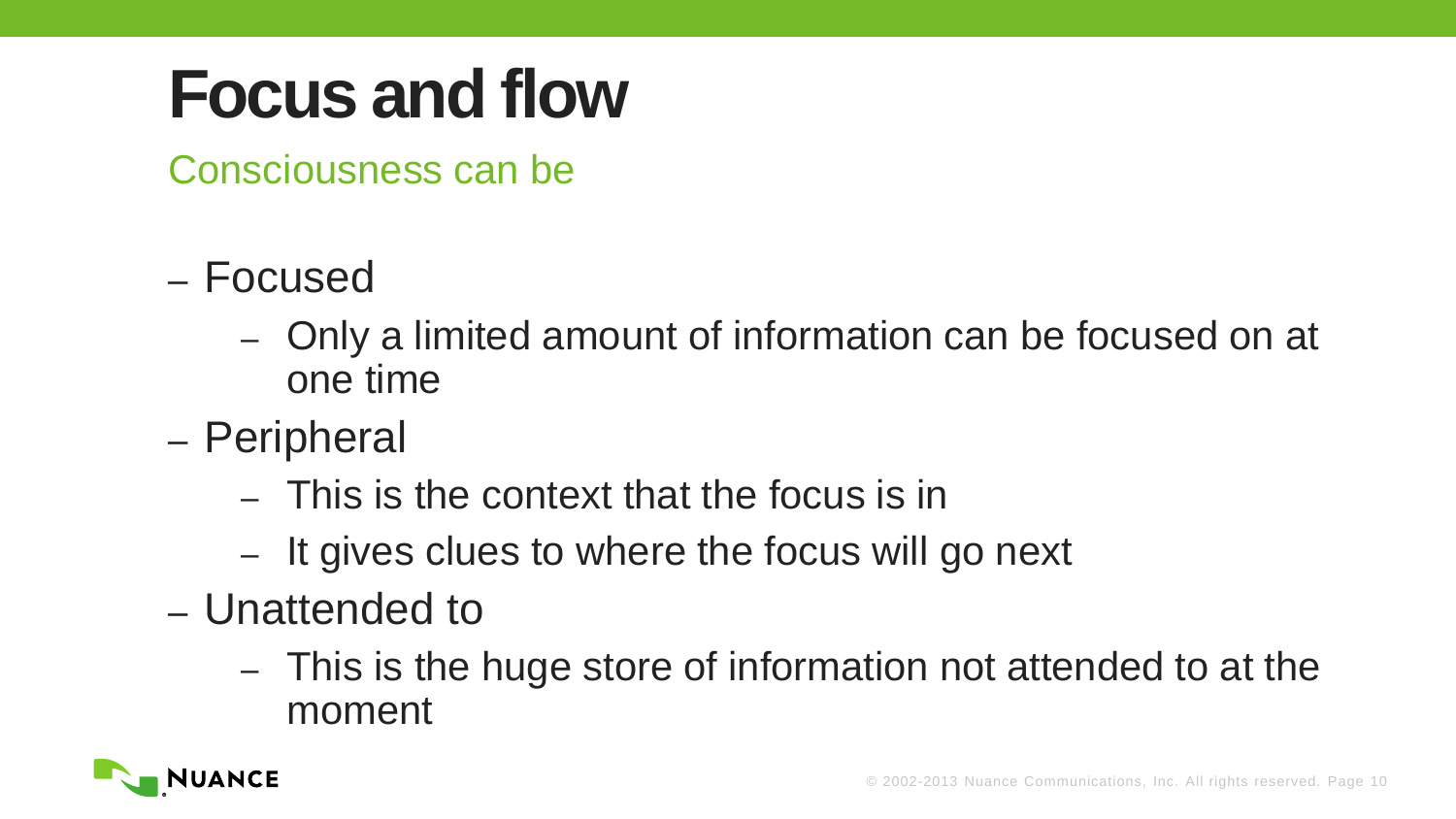Consciousness can be

- Focused
	- Only a limited amount of information can be focused on at one time
- Peripheral
	- This is the context that the focus is in
	- It gives clues to where the focus will go next
- Unattended to
	- This is the huge store of information not attended to at the moment

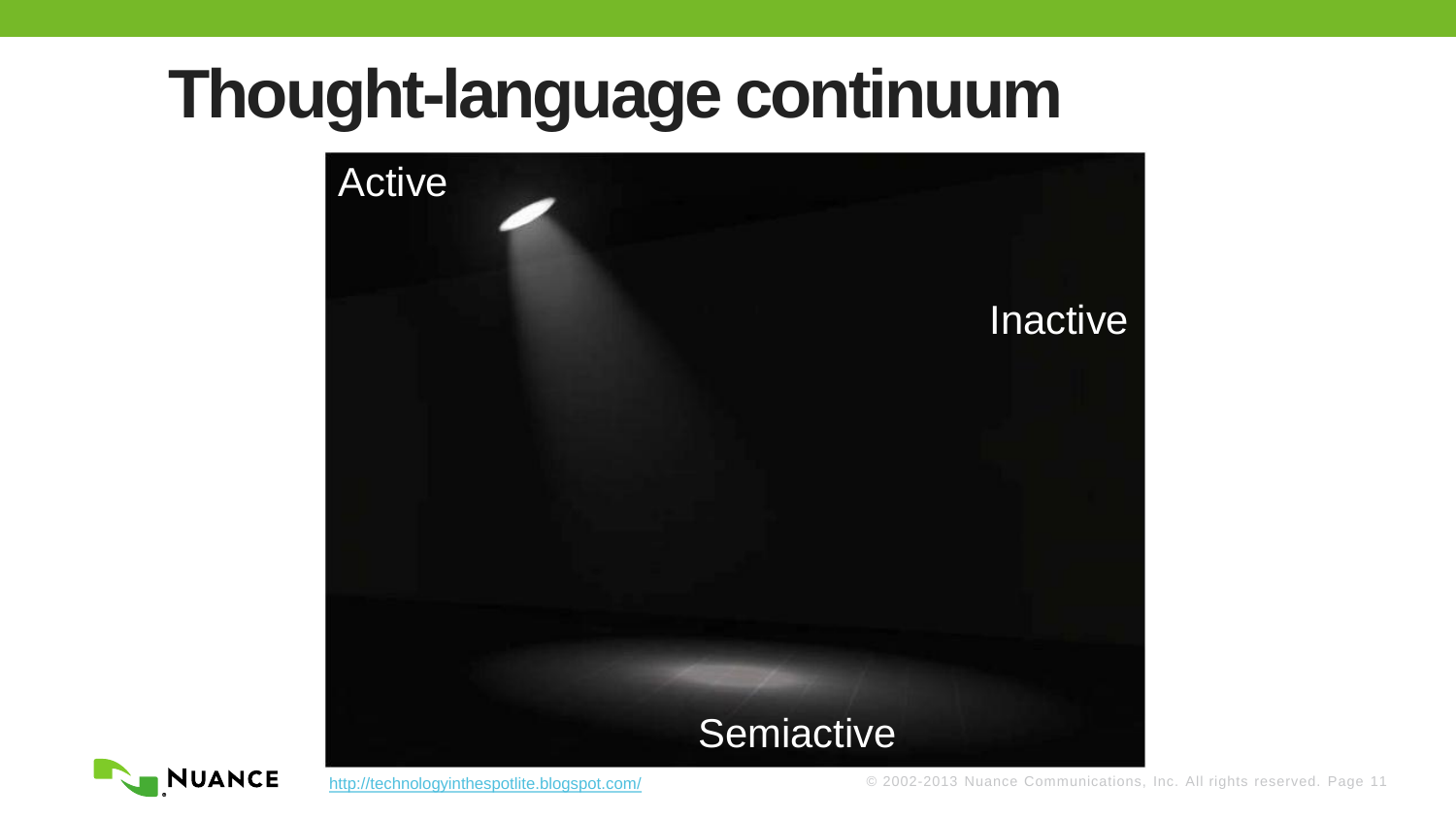### **Thought-language continuum**



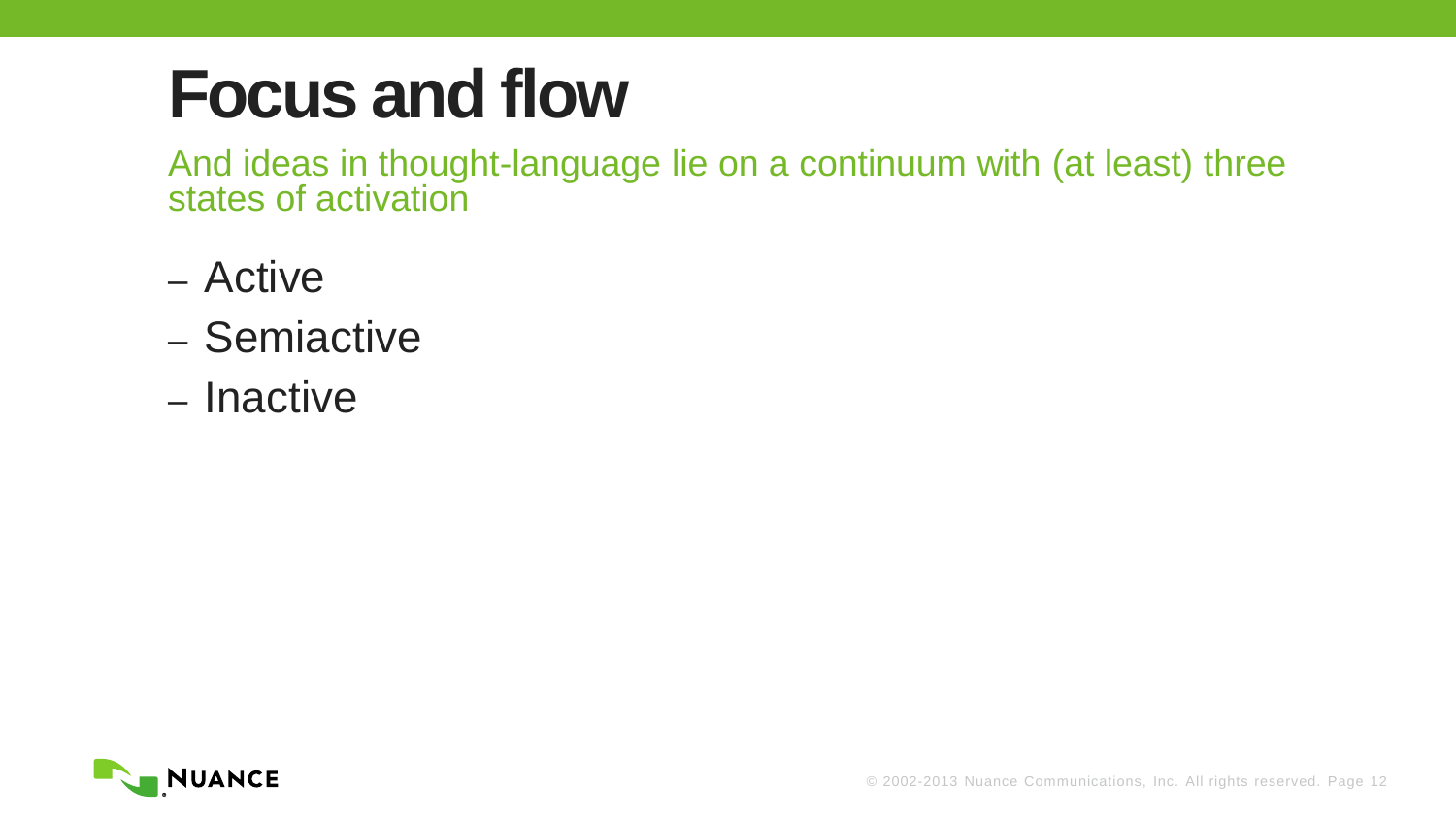And ideas in thought-language lie on a continuum with (at least) three states of activation

- Active
- Semiactive
- Inactive

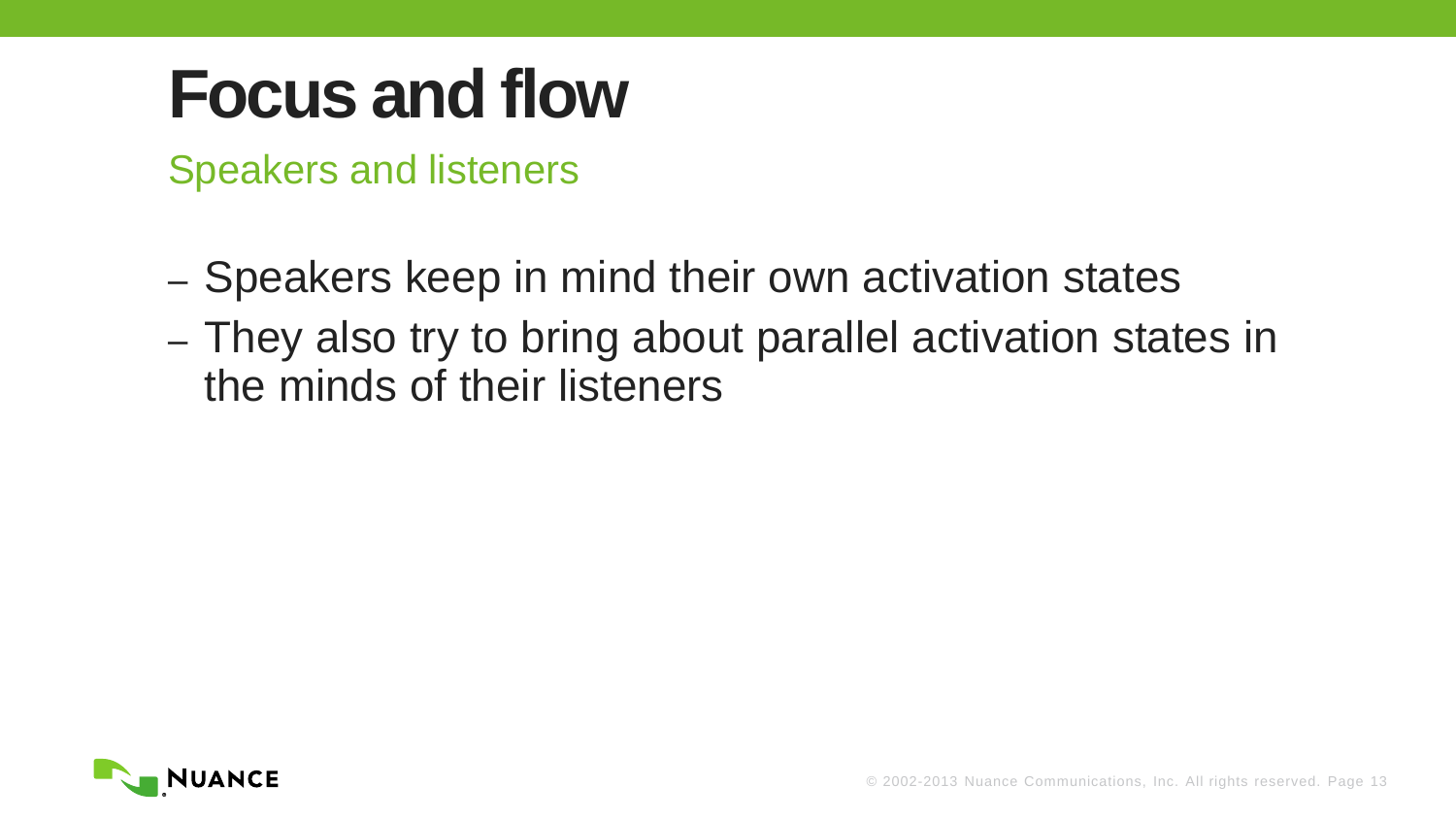Speakers and listeners

- Speakers keep in mind their own activation states
- They also try to bring about parallel activation states in the minds of their listeners

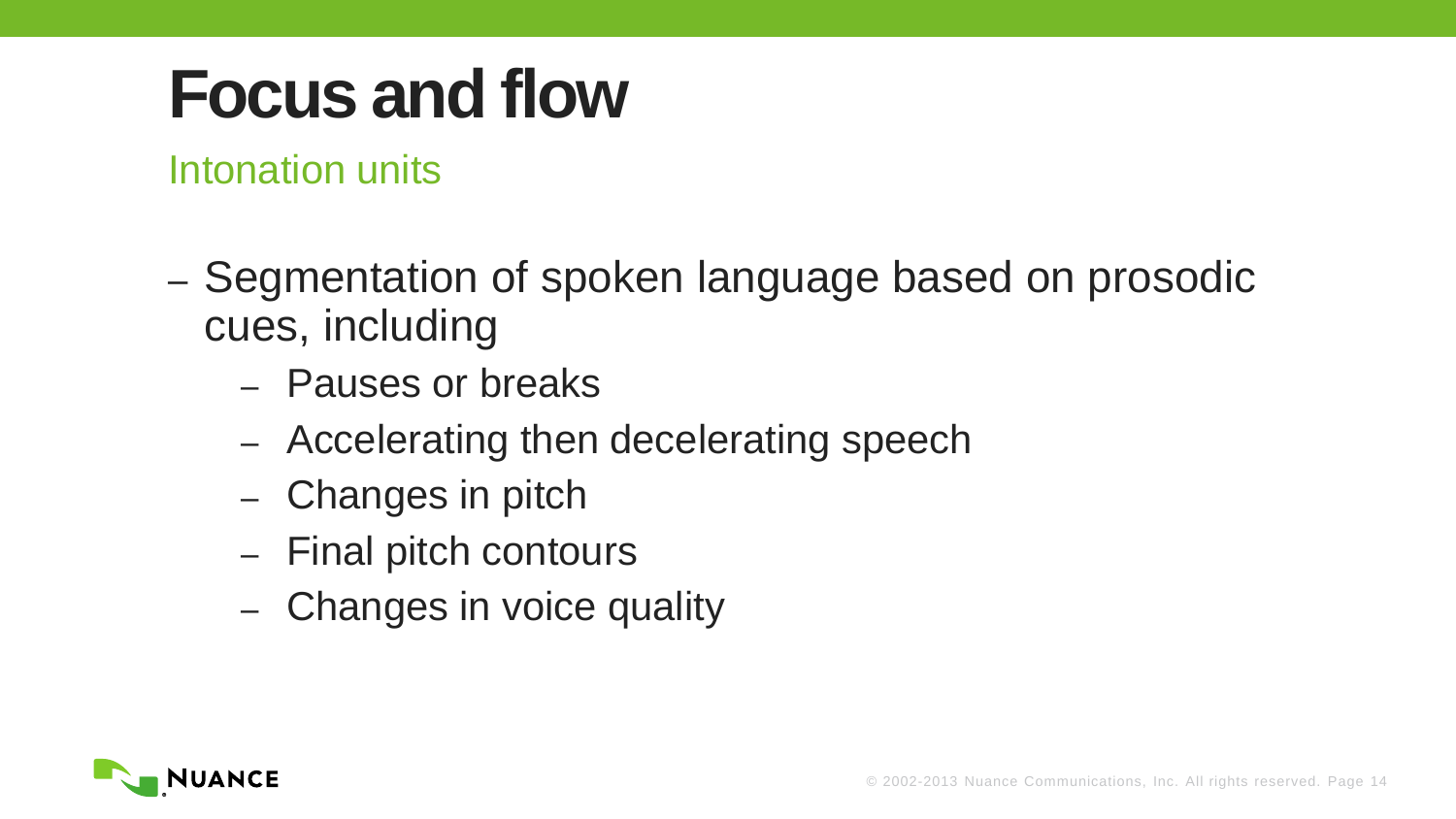Intonation units

- Segmentation of spoken language based on prosodic cues, including
	- Pauses or breaks
	- Accelerating then decelerating speech
	- Changes in pitch
	- Final pitch contours
	- Changes in voice quality

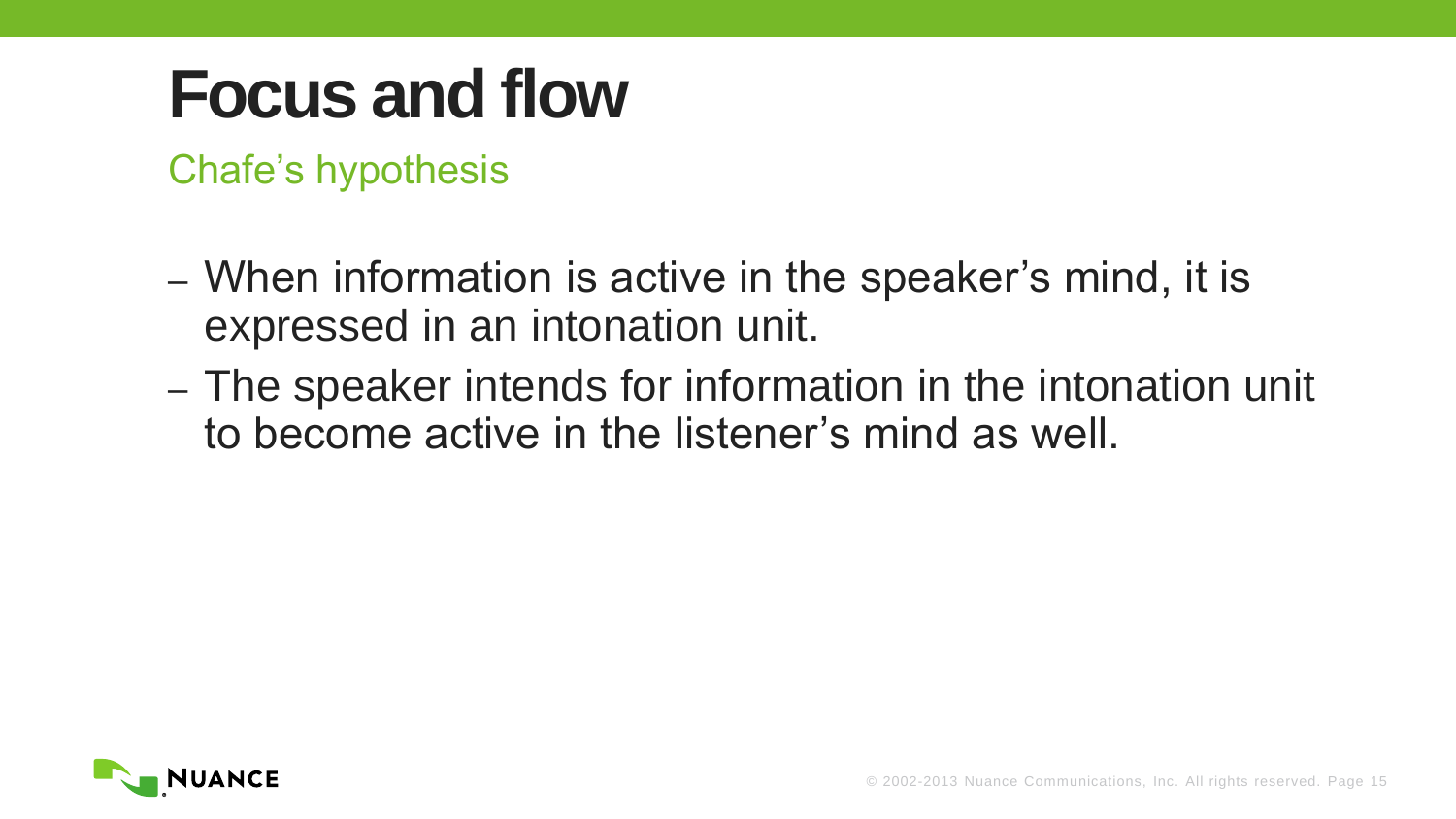Chafe's hypothesis

- When information is active in the speaker's mind, it is expressed in an intonation unit.
- The speaker intends for information in the intonation unit to become active in the listener's mind as well.

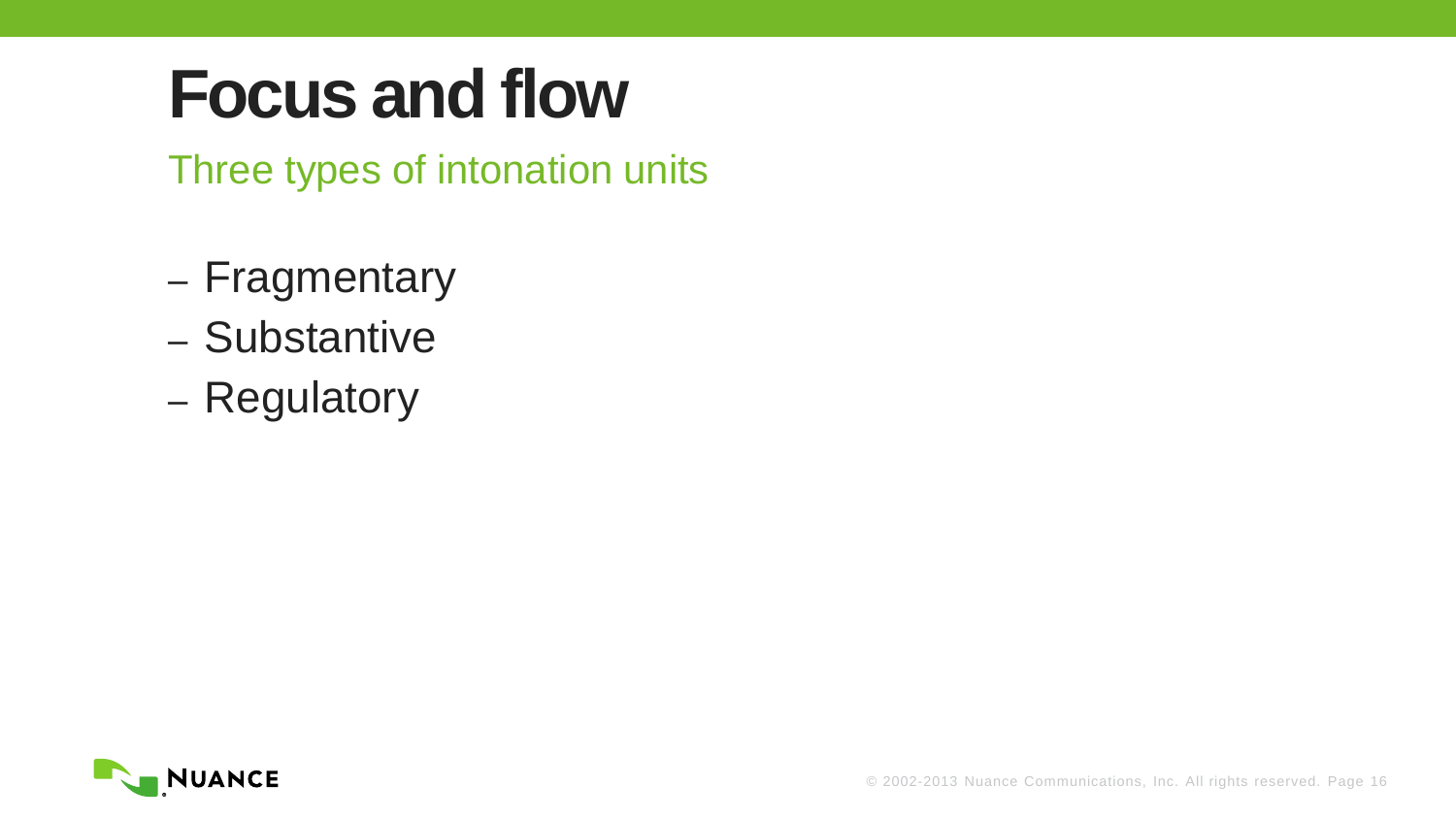Three types of intonation units

- Fragmentary
- Substantive
- Regulatory

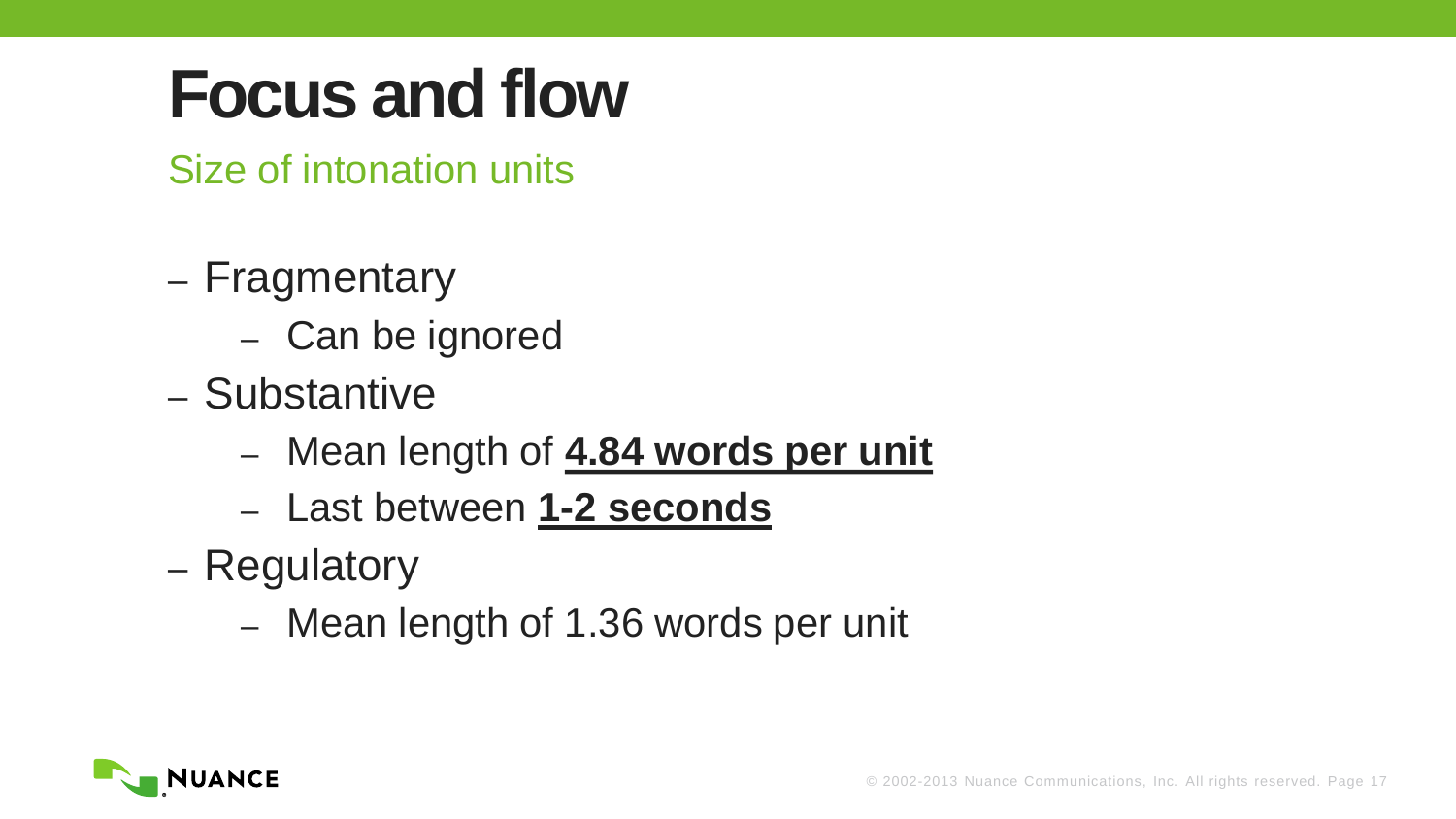Size of intonation units

- Fragmentary
	- Can be ignored
- Substantive
	- Mean length of **4.84 words per unit**
	- Last between **1-2 seconds**
- Regulatory
	- Mean length of 1.36 words per unit

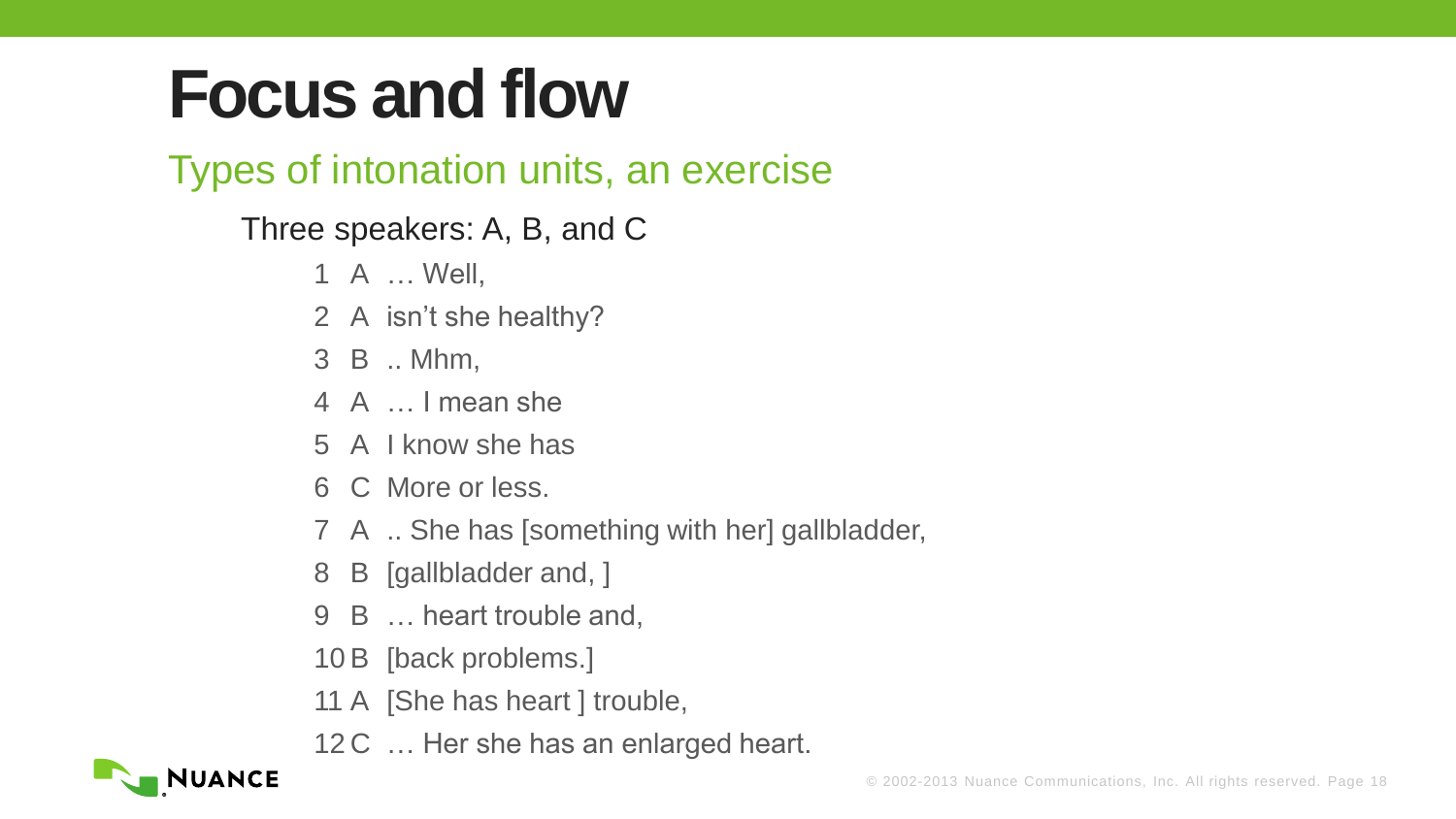#### Types of intonation units, an exercise

#### Three speakers: A, B, and C

- A … Well,
- A isn't she healthy?
- B .. Mhm,
- A … I mean she
- A I know she has
- C More or less.
- A .. She has [something with her] gallbladder,
- B [gallbladder and, ]
- B … heart trouble and,
- B [back problems.]
- A [She has heart ] trouble,
- 12 C ... Her she has an enlarged heart.

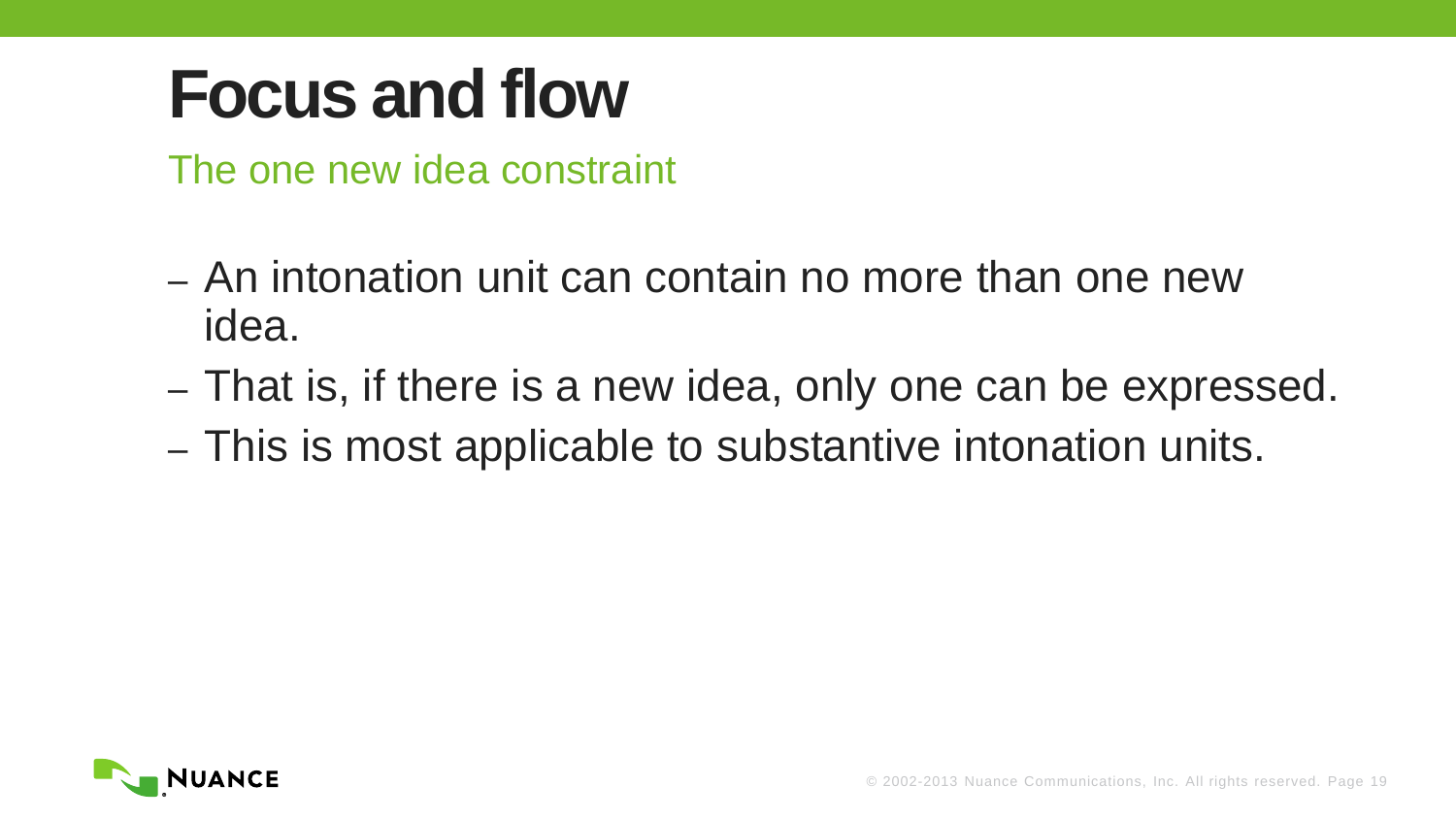The one new idea constraint

- An intonation unit can contain no more than one new idea.
- That is, if there is a new idea, only one can be expressed.
- This is most applicable to substantive intonation units.

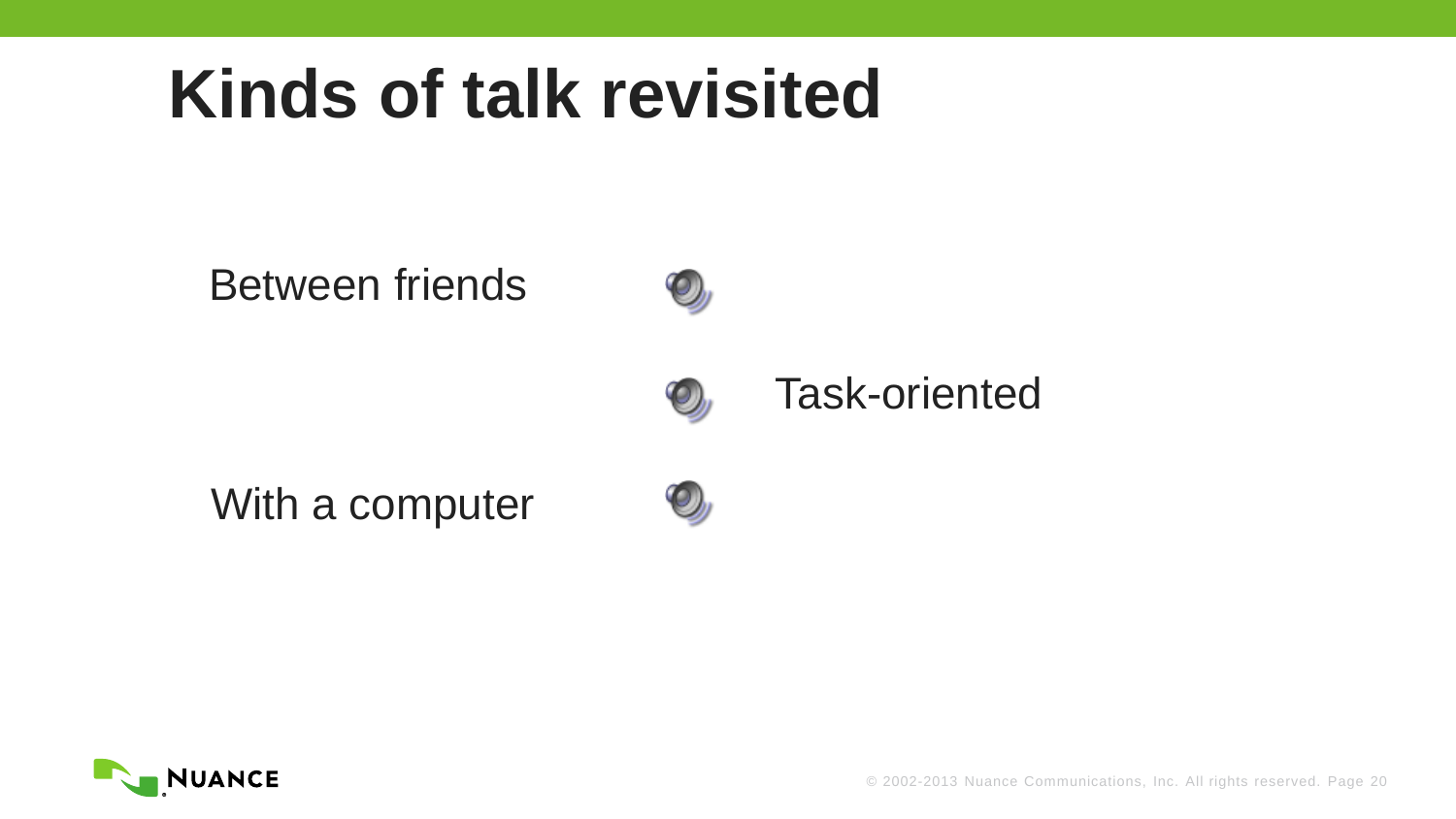### **Kinds of talk revisited**

#### Between friends



#### Task-oriented

With a computer





© 2002-2013 Nuance Communications, Inc. All rights reserved. Page 20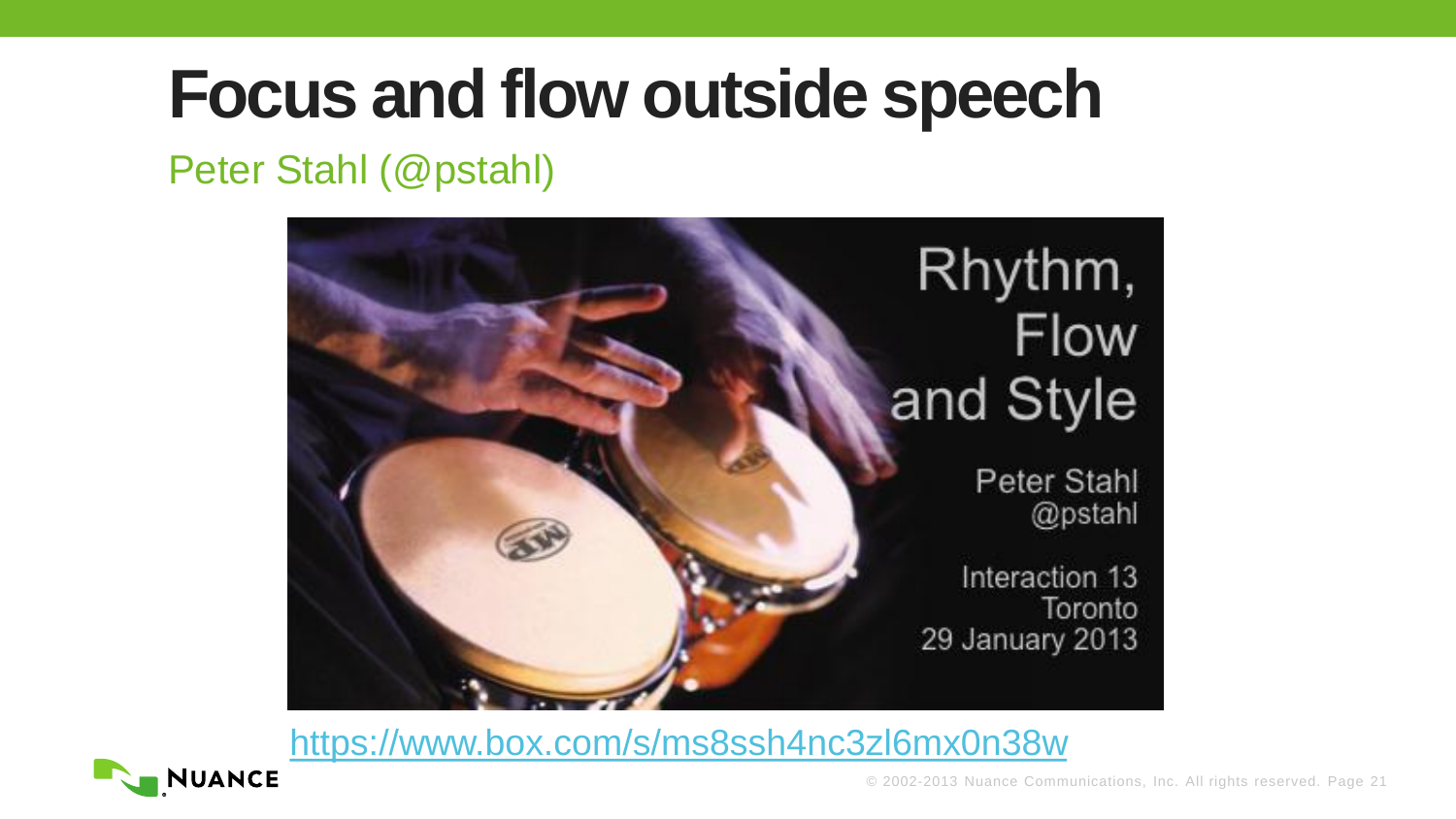#### Peter Stahl (@pstahl)



<https://www.box.com/s/ms8ssh4nc3zl6mx0n38w>

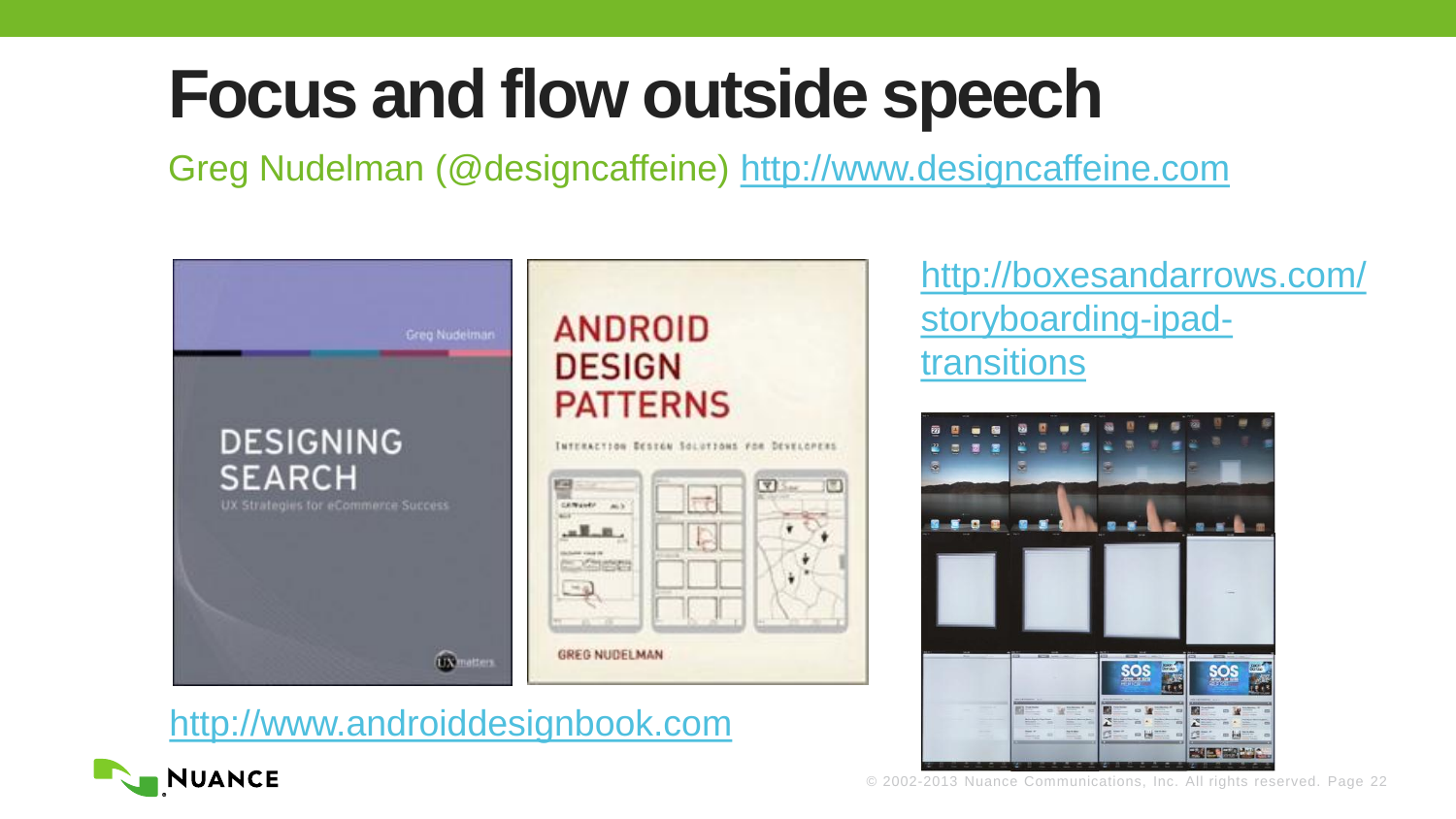Greg Nudelman (@designcaffeine) [http://www.designcaffeine.com](http://www.designcaffeine.com/)



[http://www.androiddesignbook.com](http://www.androiddesignbook.com/)

#### [http://boxesandarrows.com/](http://boxesandarrows.com/storyboarding-ipad-transitions) [storyboarding-ipad](http://boxesandarrows.com/storyboarding-ipad-transitions)[transitions](http://boxesandarrows.com/storyboarding-ipad-transitions)





© 2002-2013 Nuance Communications, Inc. All rights reserved. Page 22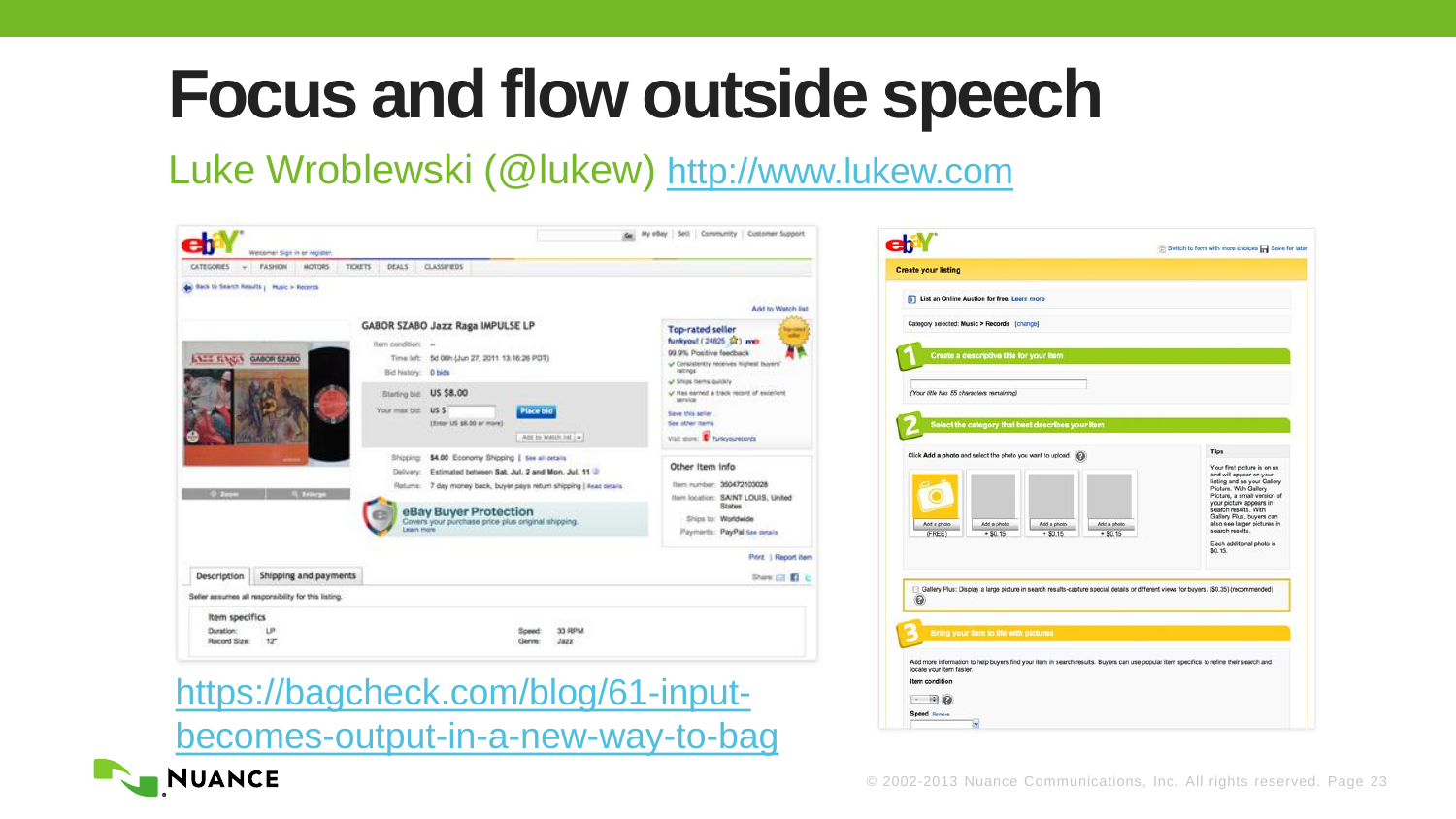Luke Wroblewski (@lukew) [http://www.lukew.com](http://www.lukew.com/)



[https://bagcheck.com/blog/61-input](https://bagcheck.com/blog/61-input-becomes-output-in-a-new-way-to-bag)[becomes-output-in-a-new-way-to-bag](https://bagcheck.com/blog/61-input-becomes-output-in-a-new-way-to-bag)



**Item condition**  $- 90$ Speed Remove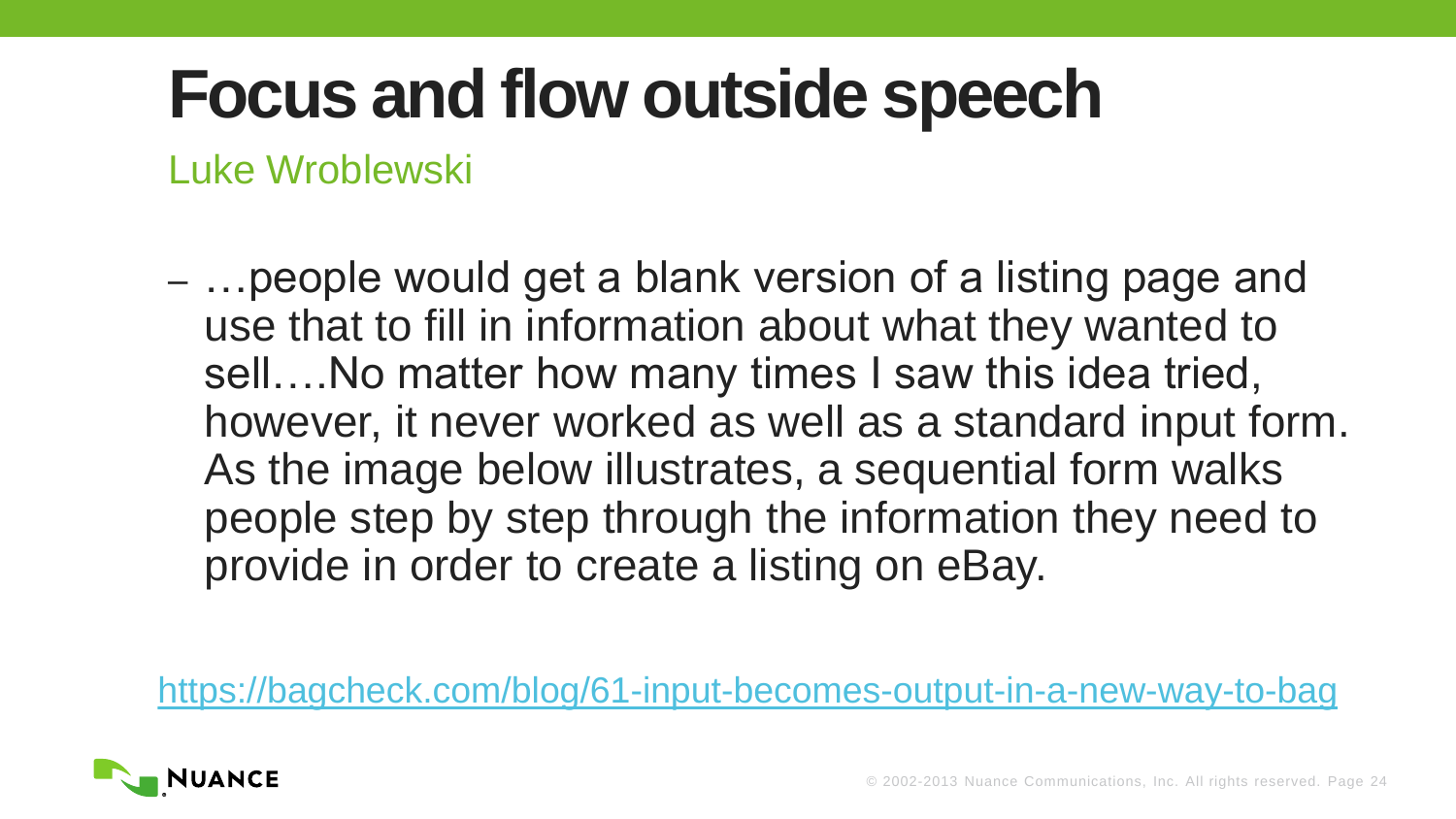Luke Wroblewski

– …people would get a blank version of a listing page and use that to fill in information about what they wanted to sell….No matter how many times I saw this idea tried, however, it never worked as well as a standard input form. As the image below illustrates, a sequential form walks people step by step through the information they need to provide in order to create a listing on eBay.

<https://bagcheck.com/blog/61-input-becomes-output-in-a-new-way-to-bag>

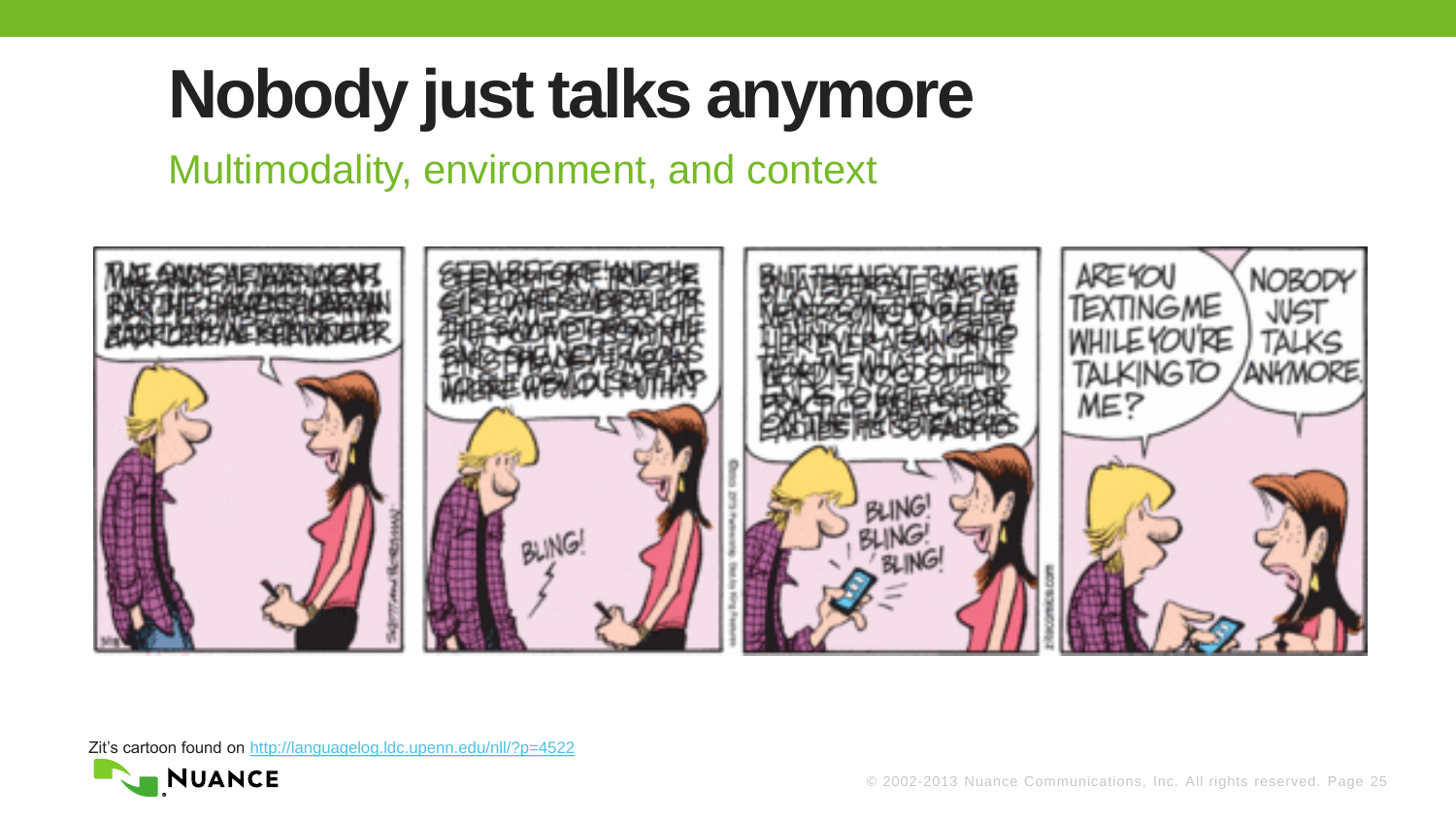## **Nobody just talks anymore**

Multimodality, environment, and context



Zit's cartoon found on <http://languagelog.ldc.upenn.edu/nll/?p=4522>